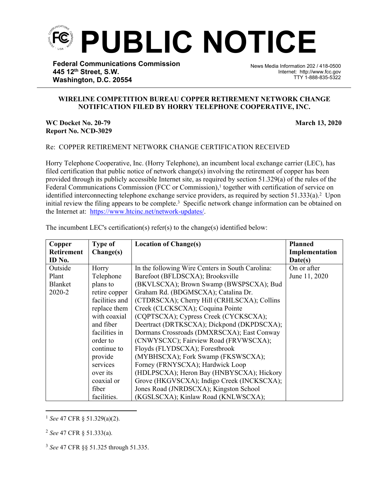

**Federal Communications Commission 445 12th Street, S.W. Washington, D.C. 20554**

News Media Information 202 / 418-0500 Internet: http://www.fcc.gov TTY 1-888-835-5322

## **WIRELINE COMPETITION BUREAU COPPER RETIREMENT NETWORK CHANGE NOTIFICATION FILED BY HORRY TELEPHONE COOPERATIVE, INC.**

֡֡֡֡

**WC Docket No. 20-79 March 13, 2020 Report No. NCD-3029**

Re: COPPER RETIREMENT NETWORK CHANGE CERTIFICATION RECEIVED

Horry Telephone Cooperative, Inc. (Horry Telephone), an incumbent local exchange carrier (LEC), has filed certification that public notice of network change(s) involving the retirement of copper has been provided through its publicly accessible Internet site, as required by section 51.329(a) of the rules of the Federal Communications Commission (FCC or Commission),<sup>1</sup> together with certification of service on identified interconnecting telephone exchange service providers, as required by section 51.333(a).<sup>2</sup> Upon initial review the filing appears to be complete.<sup>3</sup> Specific network change information can be obtained on the Internet at: <https://www.htcinc.net/network-updates/>.

| Copper            | <b>Type of</b> | <b>Location of Change(s)</b>                     | <b>Planned</b> |
|-------------------|----------------|--------------------------------------------------|----------------|
| <b>Retirement</b> | Change(s)      |                                                  | Implementation |
| ID No.            |                |                                                  | Date(s)        |
| Outside           | Horry          | In the following Wire Centers in South Carolina: | On or after    |
| Plant             | Telephone      | Barefoot (BFLDSCXA); Brooksville                 | June 11, 2020  |
| <b>Blanket</b>    | plans to       | (BKVLSCXA); Brown Swamp (BWSPSCXA); Bud          |                |
| 2020-2            | retire copper  | Graham Rd. (BDGMSCXA); Catalina Dr.              |                |
|                   | facilities and | (CTDRSCXA); Cherry Hill (CRHLSCXA); Collins      |                |
|                   | replace them   | Creek (CLCKSCXA); Coquina Pointe                 |                |
|                   | with coaxial   | (CQPTSCXA); Cypress Creek (CYCKSCXA);            |                |
|                   | and fiber      | Deertract (DRTKSCXA); Dickpond (DKPDSCXA);       |                |
|                   | facilities in  | Dormans Crossroads (DMXRSCXA); East Conway       |                |
|                   | order to       | (CNWYSCXC); Fairview Road (FRVWSCXA);            |                |
|                   | continue to    | Floyds (FLYDSCXA); Forestbrook                   |                |
|                   | provide        | (MYBHSCXA); Fork Swamp (FKSWSCXA);               |                |
|                   | services       | Forney (FRNYSCXA); Hardwick Loop                 |                |
|                   | over its       | (HDLPSCXA); Heron Bay (HNBYSCXA); Hickory        |                |
|                   | coaxial or     | Grove (HKGVSCXA); Indigo Creek (INCKSCXA);       |                |
|                   | fiber          | Jones Road (JNRDSCXA); Kingston School           |                |
|                   | facilities.    | (KGSLSCXA); Kinlaw Road (KNLWSCXA);              |                |

The incumbent LEC's certification(s) refer(s) to the change(s) identified below:

<sup>1</sup> *See* 47 CFR § 51.329(a)(2).

<sup>2</sup> *See* 47 CFR § 51.333(a).

<sup>3</sup> *See* 47 CFR §§ 51.325 through 51.335.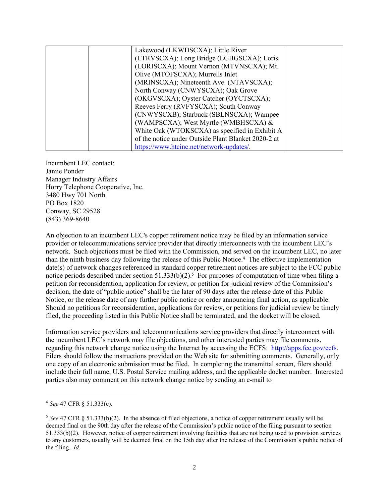| Lakewood (LKWDSCXA); Little River                   |  |
|-----------------------------------------------------|--|
|                                                     |  |
| (LTRVSCXA); Long Bridge (LGBGSCXA); Loris           |  |
| (LORISCXA); Mount Vernon (MTVNSCXA); Mt.            |  |
| Olive (MTOFSCXA); Murrells Inlet                    |  |
| (MRINSCXA); Nineteenth Ave. (NTAVSCXA);             |  |
| North Conway (CNWYSCXA); Oak Grove                  |  |
| (OKGVSCXA); Oyster Catcher (OYCTSCXA);              |  |
| Reeves Ferry (RVFYSCXA); South Conway               |  |
| (CNWYSCXB); Starbuck (SBLNSCXA); Wampee             |  |
| (WAMPSCXA); West Myrtle (WMBHSCXA) $\&$             |  |
| White Oak (WTOKSCXA) as specified in Exhibit A      |  |
| of the notice under Outside Plant Blanket 2020-2 at |  |
| https://www.htcinc.net/network-updates/.            |  |

Incumbent LEC contact: Jamie Ponder Manager Industry Affairs Horry Telephone Cooperative, Inc. 3480 Hwy 701 North PO Box 1820 Conway, SC 29528 (843) 369-8640

An objection to an incumbent LEC's copper retirement notice may be filed by an information service provider or telecommunications service provider that directly interconnects with the incumbent LEC's network. Such objections must be filed with the Commission, and served on the incumbent LEC, no later than the ninth business day following the release of this Public Notice.<sup>4</sup> The effective implementation date(s) of network changes referenced in standard copper retirement notices are subject to the FCC public notice periods described under section  $51.333(b)(2)$ .<sup>5</sup> For purposes of computation of time when filing a petition for reconsideration, application for review, or petition for judicial review of the Commission's decision, the date of "public notice" shall be the later of 90 days after the release date of this Public Notice, or the release date of any further public notice or order announcing final action, as applicable. Should no petitions for reconsideration, applications for review, or petitions for judicial review be timely filed, the proceeding listed in this Public Notice shall be terminated, and the docket will be closed.

Information service providers and telecommunications service providers that directly interconnect with the incumbent LEC's network may file objections, and other interested parties may file comments, regarding this network change notice using the Internet by accessing the ECFS: [http://apps.fcc.gov/ecfs.](http://apps.fcc.gov/ecfs) Filers should follow the instructions provided on the Web site for submitting comments. Generally, only one copy of an electronic submission must be filed. In completing the transmittal screen, filers should include their full name, U.S. Postal Service mailing address, and the applicable docket number. Interested parties also may comment on this network change notice by sending an e-mail to

<sup>4</sup> *See* 47 CFR § 51.333(c).

<sup>5</sup> *See* 47 CFR § 51.333(b)(2). In the absence of filed objections, a notice of copper retirement usually will be deemed final on the 90th day after the release of the Commission's public notice of the filing pursuant to section 51.333(b)(2). However, notice of copper retirement involving facilities that are not being used to provision services to any customers, usually will be deemed final on the 15th day after the release of the Commission's public notice of the filing. *Id*.